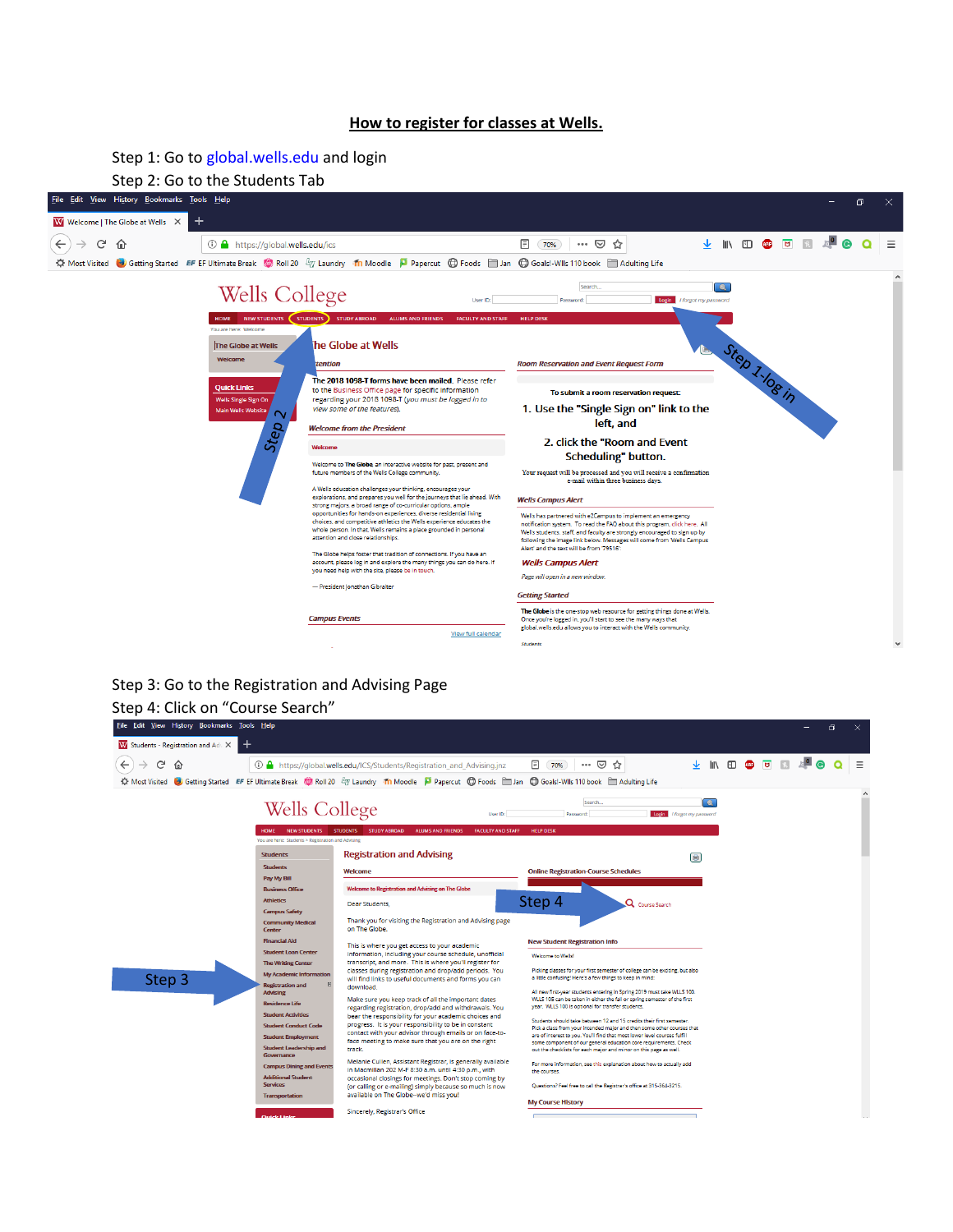## **How to register for classes at Wells.**

Step 1: Go to global.wells.edu and login



## Step 3: Go to the Registration and Advising Page Step 4: Click on "Course Search"

| $\leftarrow$<br>G<br>⋒                                                                                                                                                                                                                                                                                                                                                                                                                                      | ① A https://qlobal.wells.edu/ICS/Students/Registration_and_Advising.jnz                                                                                                                                                                                                                                                                                                                                                                                                                                                                                                                                                                                                                                                                                                                                                                                                                                                                                | … ⊙ ☆<br>圓<br>70%                                                                                                                                                                                                                                                                                                                                                                                                                                                                                                                                                                                                                                                                                                                                                                                                                                                                                                                                         | <b>上 小 印 @ 可 R</b> |  |  |
|-------------------------------------------------------------------------------------------------------------------------------------------------------------------------------------------------------------------------------------------------------------------------------------------------------------------------------------------------------------------------------------------------------------------------------------------------------------|--------------------------------------------------------------------------------------------------------------------------------------------------------------------------------------------------------------------------------------------------------------------------------------------------------------------------------------------------------------------------------------------------------------------------------------------------------------------------------------------------------------------------------------------------------------------------------------------------------------------------------------------------------------------------------------------------------------------------------------------------------------------------------------------------------------------------------------------------------------------------------------------------------------------------------------------------------|-----------------------------------------------------------------------------------------------------------------------------------------------------------------------------------------------------------------------------------------------------------------------------------------------------------------------------------------------------------------------------------------------------------------------------------------------------------------------------------------------------------------------------------------------------------------------------------------------------------------------------------------------------------------------------------------------------------------------------------------------------------------------------------------------------------------------------------------------------------------------------------------------------------------------------------------------------------|--------------------|--|--|
| <b>KX</b> Most Visited                                                                                                                                                                                                                                                                                                                                                                                                                                      | Getting Started EF EF Ultimate Break @ Roll 20 47 Laundry Th Moodle D Papercut @ Foods I Jan @ Goals!-Wils 110 book I Adulting Life                                                                                                                                                                                                                                                                                                                                                                                                                                                                                                                                                                                                                                                                                                                                                                                                                    |                                                                                                                                                                                                                                                                                                                                                                                                                                                                                                                                                                                                                                                                                                                                                                                                                                                                                                                                                           |                    |  |  |
| Wells College                                                                                                                                                                                                                                                                                                                                                                                                                                               | User ID:                                                                                                                                                                                                                                                                                                                                                                                                                                                                                                                                                                                                                                                                                                                                                                                                                                                                                                                                               | $\bullet$<br>Search<br>Login I forgot my password<br>Password:                                                                                                                                                                                                                                                                                                                                                                                                                                                                                                                                                                                                                                                                                                                                                                                                                                                                                            |                    |  |  |
| NEW STUDENTS<br><b>HOME</b><br>You are here: Students > Registration and Advising                                                                                                                                                                                                                                                                                                                                                                           | <b>STUDENTS</b><br><b>STUDY ABROAD</b><br><b>ALUMS AND FRIENDS</b><br><b>FACULTY AND STAFF</b>                                                                                                                                                                                                                                                                                                                                                                                                                                                                                                                                                                                                                                                                                                                                                                                                                                                         | <b>HELP DESK</b>                                                                                                                                                                                                                                                                                                                                                                                                                                                                                                                                                                                                                                                                                                                                                                                                                                                                                                                                          |                    |  |  |
| <b>Students</b>                                                                                                                                                                                                                                                                                                                                                                                                                                             | <b>Registration and Advising</b>                                                                                                                                                                                                                                                                                                                                                                                                                                                                                                                                                                                                                                                                                                                                                                                                                                                                                                                       | $\blacksquare$                                                                                                                                                                                                                                                                                                                                                                                                                                                                                                                                                                                                                                                                                                                                                                                                                                                                                                                                            |                    |  |  |
| <b>Students</b><br>Pay My Bill                                                                                                                                                                                                                                                                                                                                                                                                                              | Welcome                                                                                                                                                                                                                                                                                                                                                                                                                                                                                                                                                                                                                                                                                                                                                                                                                                                                                                                                                | <b>Online Registration-Course Schedules</b>                                                                                                                                                                                                                                                                                                                                                                                                                                                                                                                                                                                                                                                                                                                                                                                                                                                                                                               |                    |  |  |
| <b>Business Office</b><br><b>Athletics</b>                                                                                                                                                                                                                                                                                                                                                                                                                  | Welcome to Registration and Advising on The Globe                                                                                                                                                                                                                                                                                                                                                                                                                                                                                                                                                                                                                                                                                                                                                                                                                                                                                                      | Step 4                                                                                                                                                                                                                                                                                                                                                                                                                                                                                                                                                                                                                                                                                                                                                                                                                                                                                                                                                    |                    |  |  |
| <b>Campus Safety</b><br><b>Community Medical</b><br>Center                                                                                                                                                                                                                                                                                                                                                                                                  | Dear Students,<br>Thank you for visiting the Registration and Advising page<br>on The Globe.                                                                                                                                                                                                                                                                                                                                                                                                                                                                                                                                                                                                                                                                                                                                                                                                                                                           | Q Course Search                                                                                                                                                                                                                                                                                                                                                                                                                                                                                                                                                                                                                                                                                                                                                                                                                                                                                                                                           |                    |  |  |
| <b>Financial Aid</b><br><b>Student Loan Center</b><br><b>The Writing Center</b><br><b>My Academic Information</b><br>Step 3<br>田<br><b>Registration and</b><br><b>Advising</b><br><b>Residence Life</b><br><b>Student Activities</b><br><b>Student Conduct Code</b><br><b>Student Employment</b><br><b>Student Leadership and</b><br>Governance<br><b>Campus Dining and Events</b><br><b>Additional Student</b><br><b>Services</b><br><b>Transportation</b> | This is where you get access to your academic<br>information, including your course schedule, unofficial<br>transcript, and more. This is where you'll register for<br>classes during registration and drop/add periods. You<br>will find links to useful documents and forms you can<br>download.<br>Make sure you keep track of all the important dates<br>regarding registration, drop/add and withdrawals. You<br>bear the responsibility for your academic choices and<br>progress. It is your responsibility to be in constant<br>contact with your advisor through emails or on face-to-<br>face meeting to make sure that you are on the right<br>track.<br>Melanie Cullen, Assistant Registrar, is generally available<br>in Macmillan 202 M-F 8:30 a.m. until 4:30 p.m., with<br>occasional closings for meetings. Don't stop coming by<br>(or calling or e-mailing) simply because so much is now<br>available on The Globe--we'd miss you! | <b>New Student Registration Info</b><br>Welcome to Wells!<br>Picking classes for your first semester of college can be exciting, but also<br>a little confusing! Here's a few things to keep in mind:<br>All new first-year students entering in Spring 2019 must take WLLS 100.<br>WLLS 105 can be taken in either the fall or spring semester of the first<br>year. WLLS 100 is optional for transfer students.<br>Students should take between 12 and 15 credits their first semester.<br>Pick a class from your intended major and then some other courses that<br>are of interest to you. You'll find that most lower level courses fulfill<br>some component of our general education core requirements. Check<br>out the checklists for each major and minor on this page as well.<br>For more information, see this explanation about how to actually add<br>the courses.<br>Ouestions? Feel free to call the Registrar's office at 315-364-3215. |                    |  |  |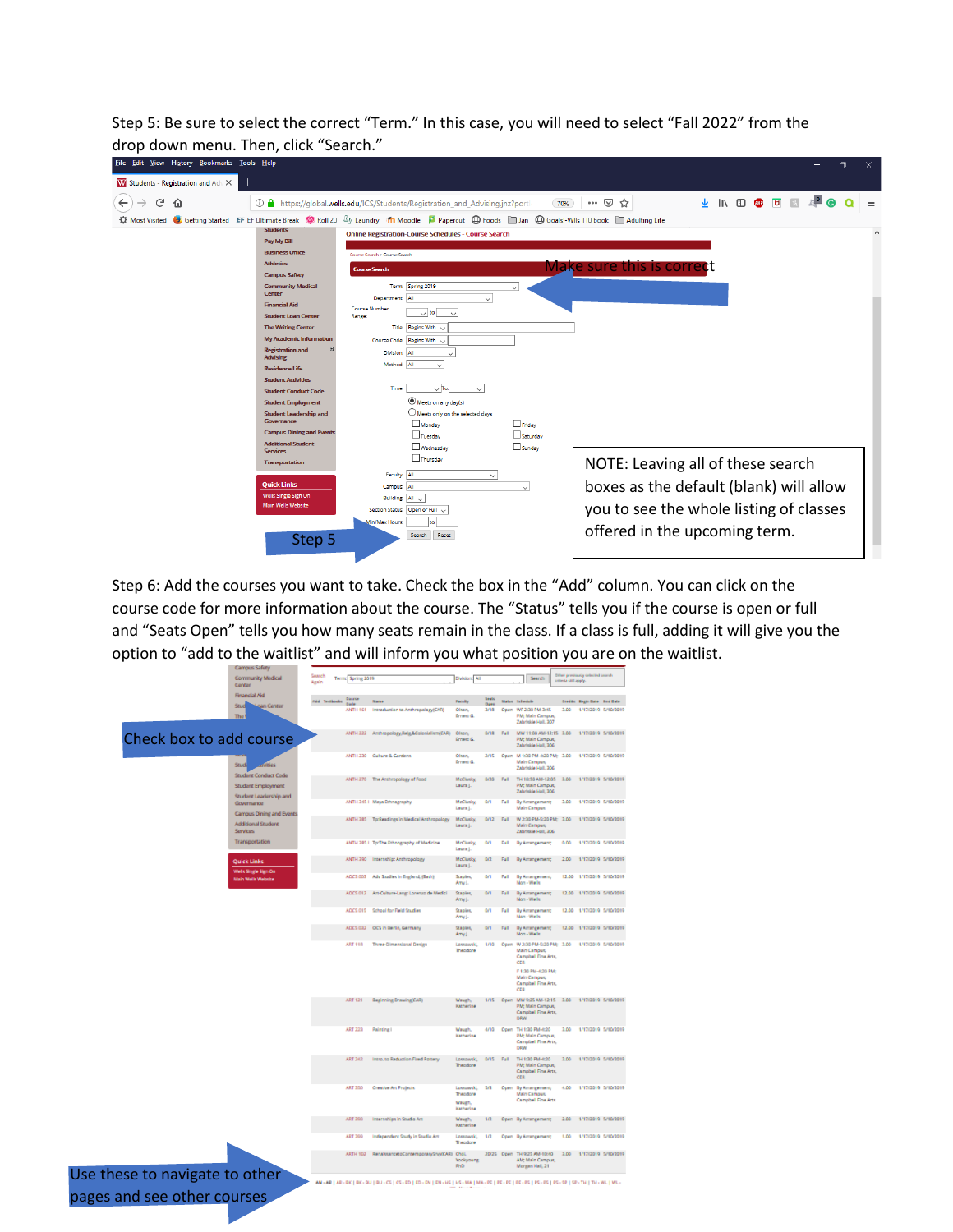Step 5: Be sure to select the correct "Term." In this case, you will need to select "Fall 2022" from the drop down menu. Then, click "Search."

| Edit View History Bookmarks Tools Help<br><b>File</b>                                                                                                                                                                                                                                                                                                                                                                                                                                                                                                                                              |                                                                                                                                                                                                                                                                                                                                                                                                                                                                                                                                                                                                                                                                                                                                     | σ<br>$\times$                                                                                                                                            |
|----------------------------------------------------------------------------------------------------------------------------------------------------------------------------------------------------------------------------------------------------------------------------------------------------------------------------------------------------------------------------------------------------------------------------------------------------------------------------------------------------------------------------------------------------------------------------------------------------|-------------------------------------------------------------------------------------------------------------------------------------------------------------------------------------------------------------------------------------------------------------------------------------------------------------------------------------------------------------------------------------------------------------------------------------------------------------------------------------------------------------------------------------------------------------------------------------------------------------------------------------------------------------------------------------------------------------------------------------|----------------------------------------------------------------------------------------------------------------------------------------------------------|
| $^+$<br>W Students - Registration and Adv X                                                                                                                                                                                                                                                                                                                                                                                                                                                                                                                                                        |                                                                                                                                                                                                                                                                                                                                                                                                                                                                                                                                                                                                                                                                                                                                     |                                                                                                                                                          |
| G<br>$\leftarrow$<br>⋒                                                                                                                                                                                                                                                                                                                                                                                                                                                                                                                                                                             | <b>① △</b> https://qlobal.wells.edu/ICS/Students/Registration and Advising.jnz?portl<br>70%                                                                                                                                                                                                                                                                                                                                                                                                                                                                                                                                                                                                                                         | 业 Ⅲ Ⅲ 四 四 Ⅲ 四 四<br>Ξ<br>$\cdots$ $\odot$<br>☆                                                                                                            |
| <b>XX</b> Most Visited<br><b>Students</b><br>Pay My Bill<br><b>Business Office</b><br><b>Athletics</b><br><b>Campus Safety</b><br><b>Community Medical</b><br><b>Center</b><br><b>Financial Aid</b><br><b>Student Loan Center</b><br><b>The Writing Center</b><br><b>My Academic Information</b><br><b>Registration and</b><br><b>Advising</b><br><b>Residence Life</b><br><b>Student Activities</b><br><b>Student Conduct Code</b><br><b>Student Employment</b><br><b>Student Leadership and</b><br>Governance<br><b>Campus Dining and Events</b><br><b>Additional Student</b><br><b>Services</b> | Getting Started EF EF Ultimate Break C Roll 20 47 Laundry Th Moodle P Papercut C Foods 3 Jan C Goals!-Wils 110 book 3 Adulting Life<br><b>Online Registration-Course Schedules - Course Search</b><br>Course Search > Course Search<br><b>Course Search</b><br>Term: Spring 2019<br>$\checkmark$<br>Department: All<br>$\checkmark$<br><b>Course Number</b><br>$\vee$ to<br>$\checkmark$<br>Range:<br><b>Title: Begins With</b><br>$\sim$<br>Course Code: Begins With ~<br>Division: All<br>$\checkmark$<br>Method: All<br>$\checkmark$<br>Time:<br>$\sim$ To:<br>$\checkmark$<br>Meets on any day(s)<br>$\bigcirc$ Meets only on the selected days<br>Monday<br>$\Box$ Friday<br>Tuesday<br>Saturday<br>Wednesday<br>$\Box$ Sunday | <b>Make sure this is correct</b>                                                                                                                         |
| <b>Transportation</b><br><b>Quick Links</b><br>Wells Single Sign On<br><b>Main Wells Website</b><br>Step 5                                                                                                                                                                                                                                                                                                                                                                                                                                                                                         | Thursday<br>Faculty: All<br>$\checkmark$<br>Campus: All<br>$\checkmark$<br>Building: All U<br>Section Status: Open or Full v<br>Min/Max Hours:<br>Search<br>Reset                                                                                                                                                                                                                                                                                                                                                                                                                                                                                                                                                                   | NOTE: Leaving all of these search<br>boxes as the default (blank) will allow<br>you to see the whole listing of classes<br>offered in the upcoming term. |

Step 6: Add the courses you want to take. Check the box in the "Add" column. You can click on the course code for more information about the course. The "Status" tells you if the course is open or full and "Seats Open" tells you how many seats remain in the class. If a class is full, adding it will give you the option to "add to the waitlist" and will inform you what position you are on the waitlist.

| <b>Campus Safety</b>                                                               |                      |                   |                                                                                                                                                            |                                               |                      |             |                                                                                                                                                           |                       |                                                     |
|------------------------------------------------------------------------------------|----------------------|-------------------|------------------------------------------------------------------------------------------------------------------------------------------------------------|-----------------------------------------------|----------------------|-------------|-----------------------------------------------------------------------------------------------------------------------------------------------------------|-----------------------|-----------------------------------------------------|
| Community Medical<br>Center                                                        | Search<br>Assin      | Term: Spring 2019 |                                                                                                                                                            | Division: All                                 |                      |             | Search                                                                                                                                                    | criteria still apply. | <b>Inchester</b>                                    |
| <b>Financial Aid</b>                                                               |                      |                   |                                                                                                                                                            |                                               |                      |             |                                                                                                                                                           |                       |                                                     |
| Stud                                                                               | <b>Add</b> Textbooks | <b>Pointer</b>    |                                                                                                                                                            | <b>Faculty</b>                                | <b>Beats</b><br>Dore |             | <b>Balax</b> Interdale                                                                                                                                    |                       | Credits: Regis Date - End Date                      |
| <b>Nigen Center</b><br>The <sup>1</sup>                                            |                      | ANTH 161          | Introduction to Anthropology(CAR)                                                                                                                          | Olson,<br><b>Ernest G</b>                     | 3/98                 |             | Open WF 2:30 PM-3:45<br>PM: Main Campus,<br>Zabriskie Hall, 307                                                                                           | 3.00                  | 1/17/2019 5/10/2019                                 |
| Check box to add course                                                            |                      |                   | ANTH 222 Anthropology, Reig, & Colonialism (CAR)                                                                                                           | Olson,<br><b>Ernest G</b>                     |                      |             | 9/18 Full MW11:00 AM-12:15 3.00<br><b>PM: Main Campus</b><br>Zabriskie Hall, 306                                                                          |                       | 1/17/2019 5/10/2019                                 |
| <b>anities</b><br>Study                                                            |                      |                   | ANTH 230 Culture & Gardens                                                                                                                                 | Olspn.<br><b>Crown G</b>                      | 2/85                 |             | Open M 1:30 PM-4:20 PM: 3.00<br><b>Main Campus</b><br>Zabriskie Hall, 306                                                                                 |                       | 1/17/2019 5/10/2019                                 |
| <b>Student Conduct Code</b><br><b>Student Employment</b><br>Student Leadership and |                      |                   | ANTH 270 The Anthropology of Food                                                                                                                          | McClasks.<br>Laura J.                         |                      | 0/20 Full   | <b>PM: Main Campus</b><br>Zabriskie Hall, 306                                                                                                             |                       | TH 10:50 AM-12:05 3.00 1/17/2019 5/10/2019          |
| Governance<br>Campus Dining and Events                                             |                      |                   | ANTH 345   Maya Ethnography                                                                                                                                | McClusky,<br>Leura L                          | 6/3                  | Ball        | By Arrangement;<br><b>Main Camput</b>                                                                                                                     | 3.00                  | 1/17/2019 5/10/2019                                 |
| <b>Additional Student</b><br><b>Services</b>                                       |                      |                   | ANTH 385 Tp:Readings in Medical Anthropology                                                                                                               | McClutky.<br>Learn L.                         |                      | B/12 Full   | W 2:30 PM-5:20 PM: 3.00<br><b>Main Campus</b><br>Zabritkie Hall, 206                                                                                      |                       | 1/17/2019 5/10/2019                                 |
| Transportation                                                                     |                      |                   | ANTH 385   Tp:The Ethnography of Medicine                                                                                                                  | McClasky.<br>Laura J.                         | <b>D/S</b>           | <b>Full</b> | By Arrangement:                                                                                                                                           | 0.00                  | 1/17/2019 5/10/2019                                 |
| Quick Links<br>Wells Single Sign On                                                |                      |                   | ANTH 390 Internship: Anthropology                                                                                                                          | McCludog.<br>Laura J.                         | 0/2                  | <b>Full</b> | By Arrangement;                                                                                                                                           | 2.00                  | 1/17/2019 5/10/2019                                 |
| Main Welk Website                                                                  |                      |                   | ADCS 003 Adv Studies in England, (Bath)                                                                                                                    | Staples.<br>Arry).                            | <b>D/T</b>           | <b>Full</b> | By Arrangement;<br>Non - Wells                                                                                                                            |                       | 12.00 1/17/2019 5/10/2019                           |
|                                                                                    |                      |                   | ADCS 012 Art-Culture-Lang: Lorenzo de Medici                                                                                                               | Staples,<br>Array J.                          | D/S                  | <b>Bull</b> | By Arrangement;<br>Non-Wells                                                                                                                              |                       | 12.00 1/17/2019 5/10/2019                           |
|                                                                                    |                      |                   | ADCS 015 School for Field Studies                                                                                                                          | Staples,<br>Arrw L.                           | <b>MA</b>            | Dall.       | By Arrangement<br>Non - Wells                                                                                                                             | 42.00                 | 1/17/2019 5/10/2019                                 |
|                                                                                    |                      |                   | ADCS 032 OCS in Berlin, Germany                                                                                                                            | Staples.<br>Array J.                          | <b>DOM:</b>          | Dall.       | By Arrangement;<br>Non - Wells                                                                                                                            |                       | 12.00 1/17/2019 5/10/2019                           |
|                                                                                    |                      | ART 11R           | Three-Dimensional Design                                                                                                                                   | Loospweki,<br>Theodore                        | 1/10                 |             | Open W 2:30 PM-5:20 PM: 3:00<br><b>Main Campus</b><br>Campbell Fine Arts<br>cca<br>F 1:30 PM-4:20 PM;<br><b>Main Campus</b><br>Campbell Fine Arts,<br>CER |                       | 1/17/2019 5/10/2019                                 |
|                                                                                    |                      |                   | ART 121 Beginning Drawing(CAR)                                                                                                                             | Waugh.<br>Katherine                           |                      |             | <b>PM: Main Campus</b><br>Campbell Fine Arts<br>DRW                                                                                                       |                       | 1/15 Open MW 9:25 AM-12:15 3.00 1/17/2019 5/10/2019 |
|                                                                                    |                      | <b>ART 223</b>    | Painting I                                                                                                                                                 | Waugh.<br>Katherine                           | 4/10                 |             | Open TH 1:30 PM-4:20<br><b>PM: Main Campus</b><br>Campbell Fine Arts<br>DRW                                                                               | 3.00                  | 1/17/2019 5/10/2019                                 |
|                                                                                    |                      | ART 242           | Intro. to Reduction Fired Pottery                                                                                                                          | Theodore                                      |                      |             | Lostowski, 8/15 Full TH 1:30 PM-4:20<br><b>PM: Main Campus</b><br>Campbell Fine Arts,<br>cca                                                              |                       | 3.00 1/17/2019 5/10/2019                            |
|                                                                                    |                      | ART 250           | Creative Art Projects                                                                                                                                      | Loospweld.<br>Theodore<br>Waugh,<br>Katherine | 5.79                 |             | Open By Arrangement:<br><b>Main Campus</b><br>Campbell Fine Arts                                                                                          | 4.00                  | 1/17/2019 5/10/2019                                 |
|                                                                                    |                      | ART 390           | Internships in Studio Art                                                                                                                                  | Waugh,<br>Katherine                           | 1/2                  |             | Open By Arrangement;                                                                                                                                      | 2.00                  | 1/17/2019 5/10/2019                                 |
|                                                                                    |                      | ART 200           | Independent Study in Studio Art                                                                                                                            | Lottowski,<br>Theodore                        | 10                   |             | Open By Arrangement;                                                                                                                                      | 1.00                  | 1/17/2019 5/10/2019                                 |
|                                                                                    |                      |                   | ARTH 102 RenaissancetoContemporarySrvy(CAR) Choi,                                                                                                          | Voolgoung<br>PhD                              |                      |             | 20/25 Open TH 9:25 AM-10:40<br>AM; Main Campus,<br>Morgan Hall, 21                                                                                        |                       | 3.00 1/17/2019 5/10/2019                            |
| hese to navigate to other                                                          |                      |                   | AN - AR   AR - BK   BK - BU   BU - CS   CS - ED   ED - EN   EN - HS   HS - MA   MA - PE   PE - PE   PE - PS   PS - PS   PS - SP   SP - TH   TH - WL   WL - |                                               |                      |             |                                                                                                                                                           |                       |                                                     |

Use t pages and see other courses